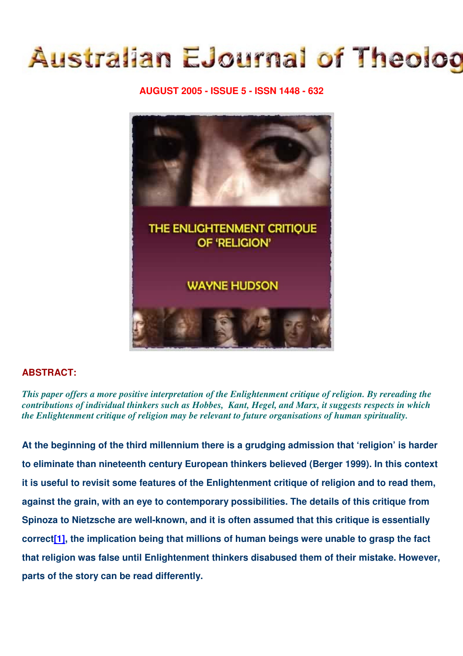# **Australian EJournal of Theolog**

## **AUGUST 2005 - ISSUE 5 - ISSN 1448 - 632**



# **ABSTRACT:**

*This paper offers a more positive interpretation of the Enlightenment critique of religion. By rereading the contributions of individual thinkers such as Hobbes, Kant, Hegel, and Marx, it suggests respects in which the Enlightenment critique of religion may be relevant to future organisations of human spirituality.*

**At the beginning of the third millennium there is a grudging admission that 'religion' is harder to eliminate than nineteenth century European thinkers believed (Berger 1999). In this context it is useful to revisit some features of the Enlightenment critique of religion and to read them, against the grain, with an eye to contemporary possibilities. The details of this critique from Spinoza to Nietzsche are well-known, and it is often assumed that this critique is essentially correct[1], the implication being that millions of human beings were unable to grasp the fact that religion was false until Enlightenment thinkers disabused them of their mistake. However, parts of the story can be read differently.**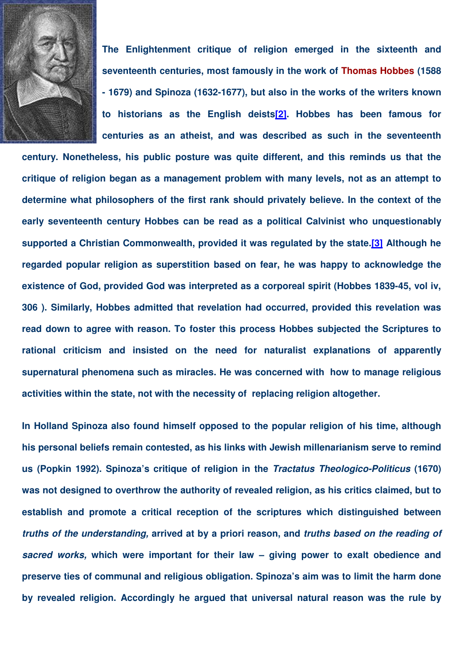

**The Enlightenment critique of religion emerged in the sixteenth and seventeenth centuries, most famously in the work of Thomas Hobbes (1588 - 1679) and Spinoza (1632-1677), but also in the works of the writers known to historians as the English deists[2]. Hobbes has been famous for centuries as an atheist, and was described as such in the seventeenth**

**century. Nonetheless, his public posture was quite different, and this reminds us that the critique of religion began as a management problem with many levels, not as an attempt to determine what philosophers of the first rank should privately believe. In the context of the early seventeenth century Hobbes can be read as a political Calvinist who unquestionably supported a Christian Commonwealth, provided it was regulated by the state.[3] Although he regarded popular religion as superstition based on fear, he was happy to acknowledge the existence of God, provided God was interpreted as a corporeal spirit (Hobbes 1839-45, vol iv, 306 ). Similarly, Hobbes admitted that revelation had occurred, provided this revelation was read down to agree with reason. To foster this process Hobbes subjected the Scriptures to rational criticism and insisted on the need for naturalist explanations of apparently supernatural phenomena such as miracles. He was concerned with how to manage religious activities within the state, not with the necessity of replacing religion altogether.**

**In Holland Spinoza also found himself opposed to the popular religion of his time, although his personal beliefs remain contested, as his links with Jewish millenarianism serve to remind us (Popkin 1992). Spinoza's critique of religion in the** *Tractatus Theologico-Politicus* **(1670) was not designed to overthrow the authority of revealed religion, as his critics claimed, but to establish and promote a critical reception of the scriptures which distinguished between** *truths of the understanding,* **arrived at by a priori reason, and** *truths based on the reading of sacred works,* **which were important for their law – giving power to exalt obedience and preserve ties of communal and religious obligation. Spinoza's aim was to limit the harm done by revealed religion. Accordingly he argued that universal natural reason was the rule by**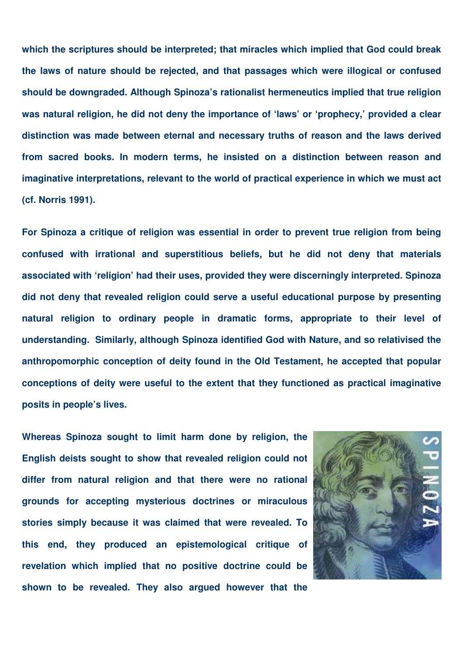**which the scriptures should be interpreted; that miracles which implied that God could break the laws of nature should be rejected, and that passages which were illogical or confused should be downgraded. Although Spinoza's rationalist hermeneutics implied that true religion was natural religion, he did not deny the importance of 'laws' or 'prophecy,' provided a clear distinction was made between eternal and necessary truths of reason and the laws derived from sacred books. In modern terms, he insisted on a distinction between reason and imaginative interpretations, relevant to the world of practical experience in which we must act (cf. Norris 1991).**

**For Spinoza a critique of religion was essential in order to prevent true religion from being confused with irrational and superstitious beliefs, but he did not deny that materials associated with 'religion' had their uses, provided they were discerningly interpreted. Spinoza did not deny that revealed religion could serve a useful educational purpose by presenting natural religion to ordinary people in dramatic forms, appropriate to their level of understanding. Similarly, although Spinoza identified God with Nature, and so relativised the anthropomorphic conception of deity found in the Old Testament, he accepted that popular conceptions of deity were useful to the extent that they functioned as practical imaginative posits in people's lives.**

**Whereas Spinoza sought to limit harm done by religion, the English deists sought to show that revealed religion could not differ from natural religion and that there were no rational grounds for accepting mysterious doctrines or miraculous stories simply because it was claimed that were revealed. To this end, they produced an epistemological critique of revelation which implied that no positive doctrine could be shown to be revealed. They also argued however that the**

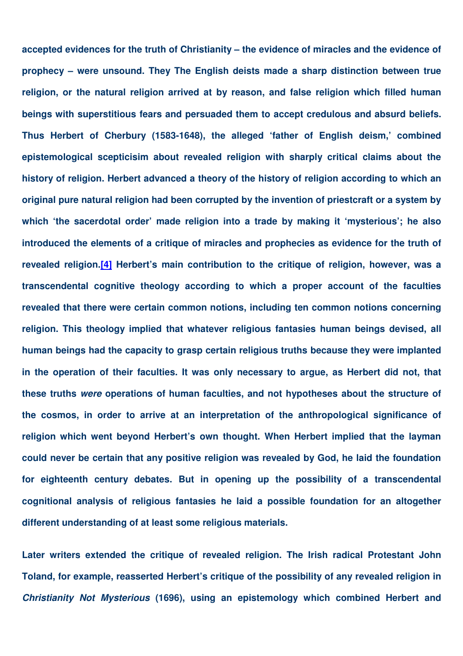**accepted evidences for the truth of Christianity – the evidence of miracles and the evidence of prophecy – were unsound. They The English deists made a sharp distinction between true religion, or the natural religion arrived at by reason, and false religion which filled human beings with superstitious fears and persuaded them to accept credulous and absurd beliefs. Thus Herbert of Cherbury (1583-1648), the alleged 'father of English deism,' combined epistemological scepticisim about revealed religion with sharply critical claims about the history of religion. Herbert advanced a theory of the history of religion according to which an original pure natural religion had been corrupted by the invention of priestcraft or a system by which 'the sacerdotal order' made religion into a trade by making it 'mysterious'; he also introduced the elements of a critique of miracles and prophecies as evidence for the truth of revealed religion.[4] Herbert's main contribution to the critique of religion, however, was a transcendental cognitive theology according to which a proper account of the faculties revealed that there were certain common notions, including ten common notions concerning religion. This theology implied that whatever religious fantasies human beings devised, all human beings had the capacity to grasp certain religious truths because they were implanted in the operation of their faculties. It was only necessary to argue, as Herbert did not, that these truths** *were* **operations of human faculties, and not hypotheses about the structure of the cosmos, in order to arrive at an interpretation of the anthropological significance of religion which went beyond Herbert's own thought. When Herbert implied that the layman could never be certain that any positive religion was revealed by God, he laid the foundation for eighteenth century debates. But in opening up the possibility of a transcendental cognitional analysis of religious fantasies he laid a possible foundation for an altogether different understanding of at least some religious materials.**

**Later writers extended the critique of revealed religion. The Irish radical Protestant John Toland, for example, reasserted Herbert's critique of the possibility of any revealed religion in** *Christianity Not Mysterious* **(1696), using an epistemology which combined Herbert and**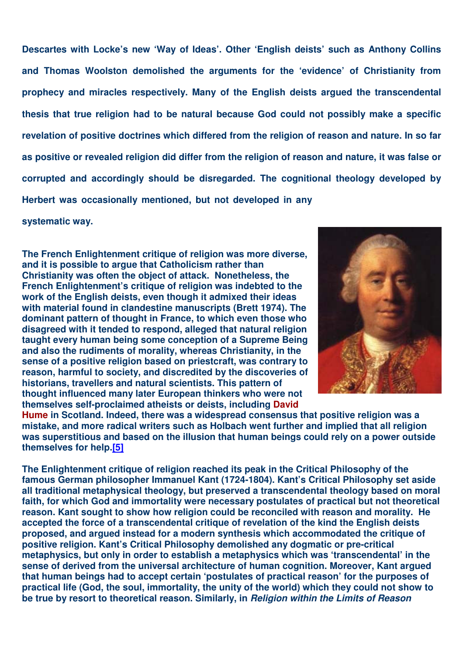**Descartes with Locke's new 'Way of Ideas'. Other 'English deists' such as Anthony Collins and Thomas Woolston demolished the arguments for the 'evidence' of Christianity from prophecy and miracles respectively. Many of the English deists argued the transcendental thesis that true religion had to be natural because God could not possibly make a specific revelation of positive doctrines which differed from the religion of reason and nature. In so far** as positive or revealed religion did differ from the religion of reason and nature, it was false or **corrupted and accordingly should be disregarded. The cognitional theology developed by Herbert was occasionally mentioned, but not developed in any**

**systematic way.**

**The French Enlightenment critique of religion was more diverse, and it is possible to argue that Catholicism rather than Christianity was often the object of attack. Nonetheless, the French Enlightenment's critique of religion was indebted to the work of the English deists, even though it admixed their ideas with material found in clandestine manuscripts (Brett 1974). The dominant pattern of thought in France, to which even those who disagreed with it tended to respond, alleged that natural religion taught every human being some conception of a Supreme Being and also the rudiments of morality, whereas Christianity, in the sense of a positive religion based on priestcraft, was contrary to reason, harmful to society, and discredited by the discoveries of historians, travellers and natural scientists. This pattern of thought influenced many later European thinkers who were not themselves self-proclaimed atheists or deists, including David**



**Hume in Scotland. Indeed, there was a widespread consensus that positive religion was a mistake, and more radical writers such as Holbach went further and implied that all religion was superstitious and based on the illusion that human beings could rely on a power outside themselves for help.[5]**

**The Enlightenment critique of religion reached its peak in the Critical Philosophy of the famous German philosopher Immanuel Kant (1724-1804). Kant's Critical Philosophy set aside all traditional metaphysical theology, but preserved a transcendental theology based on moral faith, for which God and immortality were necessary postulates of practical but not theoretical reason. Kant sought to show how religion could be reconciled with reason and morality. He accepted the force of a transcendental critique of revelation of the kind the English deists proposed, and argued instead for a modern synthesis which accommodated the critique of positive religion. Kant's Critical Philosophy demolished any dogmatic or pre-critical metaphysics, but only in order to establish a metaphysics which was 'transcendental' in the sense of derived from the universal architecture of human cognition. Moreover, Kant argued that human beings had to accept certain 'postulates of practical reason' for the purposes of practical life (God, the soul, immortality, the unity of the world) which they could not show to be true by resort to theoretical reason. Similarly, in** *Religion within the Limits of Reason*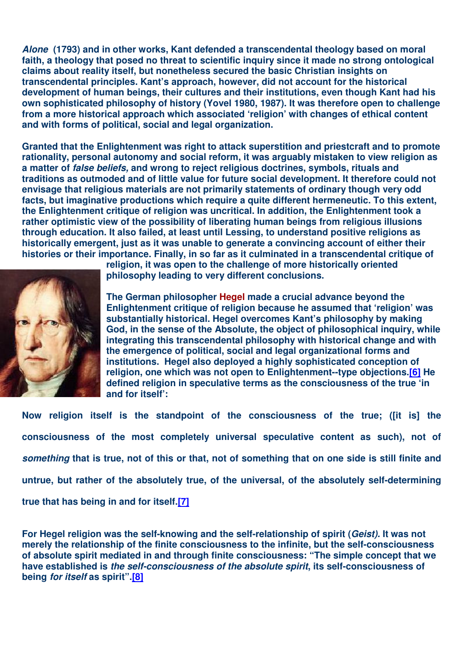*Alone* **(1793) and in other works, Kant defended a transcendental theology based on moral faith, a theology that posed no threat to scientific inquiry since it made no strong ontological claims about reality itself, but nonetheless secured the basic Christian insights on transcendental principles. Kant's approach, however, did not account for the historical development of human beings, their cultures and their institutions, even though Kant had his own sophisticated philosophy of history (Yovel 1980, 1987). It was therefore open to challenge from a more historical approach which associated 'religion' with changes of ethical content and with forms of political, social and legal organization.**

**Granted that the Enlightenment was right to attack superstition and priestcraft and to promote rationality, personal autonomy and social reform, it was arguably mistaken to view religion as a matter of** *false beliefs,* **and wrong to reject religious doctrines, symbols, rituals and traditions as outmoded and of little value for future social development. It therefore could not envisage that religious materials are not primarily statements of ordinary though very odd facts, but imaginative productions which require a quite different hermeneutic. To this extent, the Enlightenment critique of religion was uncritical. In addition, the Enlightenment took a rather optimistic view of the possibility of liberating human beings from religious illusions through education. It also failed, at least until Lessing, to understand positive religions as historically emergent, just as it was unable to generate a convincing account of either their histories or their importance. Finally, in so far as it culminated in a transcendental critique of**



**religion, it was open to the challenge of more historically oriented philosophy leading to very different conclusions.**

**The German philosopher Hegel made a crucial advance beyond the Enlightenment critique of religion because he assumed that 'religion' was substantially historical. Hegel overcomes Kant's philosophy by making God, in the sense of the Absolute, the object of philosophical inquiry, while integrating this transcendental philosophy with historical change and with the emergence of political, social and legal organizational forms and institutions. Hegel also deployed a highly sophisticated conception of religion, one which was not open to Enlightenment--type objections.[6] He defined religion in speculative terms as the consciousness of the true 'in and for itself':**

**Now religion itself is the standpoint of the consciousness of the true; ([it is] the consciousness of the most completely universal speculative content as such), not of** something that is true, not of this or that, not of something that on one side is still finite and **untrue, but rather of the absolutely true, of the universal, of the absolutely self-determining true that has being in and for itself.[7]**

**For Hegel religion was the self-knowing and the self-relationship of spirit (***Geist).* **It was not merely the relationship of the finite consciousness to the infinite, but the self-consciousness of absolute spirit mediated in and through finite consciousness: "The simple concept that we have established is** *the self-consciousness of the absolute spirit***, its self-consciousness of being** *for itself* **as spirit".[8]**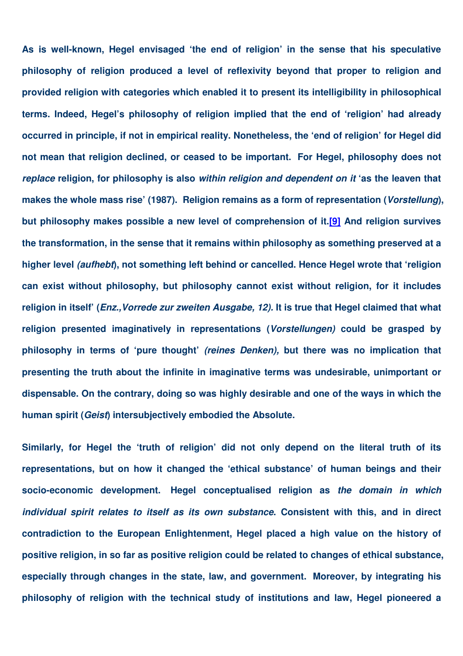**As is well-known, Hegel envisaged 'the end of religion' in the sense that his speculative philosophy of religion produced a level of reflexivity beyond that proper to religion and provided religion with categories which enabled it to present its intelligibility in philosophical terms. Indeed, Hegel's philosophy of religion implied that the end of 'religion' had already occurred in principle, if not in empirical reality. Nonetheless, the 'end of religion' for Hegel did not mean that religion declined, or ceased to be important. For Hegel, philosophy does not** *replace* **religion, for philosophy is also** *within religion and dependent on it* **'as the leaven that makes the whole mass rise' (1987). Religion remains as a form of representation (***Vorstellung***), but philosophy makes possible a new level of comprehension of it.[9] And religion survives the transformation, in the sense that it remains within philosophy as something preserved at a higher level** *(aufhebt***), not something left behind or cancelled. Hence Hegel wrote that 'religion can exist without philosophy, but philosophy cannot exist without religion, for it includes religion in itself' (***Enz.,Vorrede zur zweiten Ausgabe, 12).* **It is true that Hegel claimed that what religion presented imaginatively in representations (***Vorstellungen)* **could be grasped by philosophy in terms of 'pure thought'** *(reines Denken),* **but there was no implication that presenting the truth about the infinite in imaginative terms was undesirable, unimportant or dispensable. On the contrary, doing so was highly desirable and one of the ways in which the human spirit (***Geist***) intersubjectively embodied the Absolute.**

**Similarly, for Hegel the 'truth of religion' did not only depend on the literal truth of its representations, but on how it changed the 'ethical substance' of human beings and their socio-economic development. Hegel conceptualised religion as** *the domain in which individual spirit relates to itself as its own substance***. Consistent with this, and in direct contradiction to the European Enlightenment, Hegel placed a high value on the history of positive religion, in so far as positive religion could be related to changes of ethical substance, especially through changes in the state, law, and government. Moreover, by integrating his philosophy of religion with the technical study of institutions and law, Hegel pioneered a**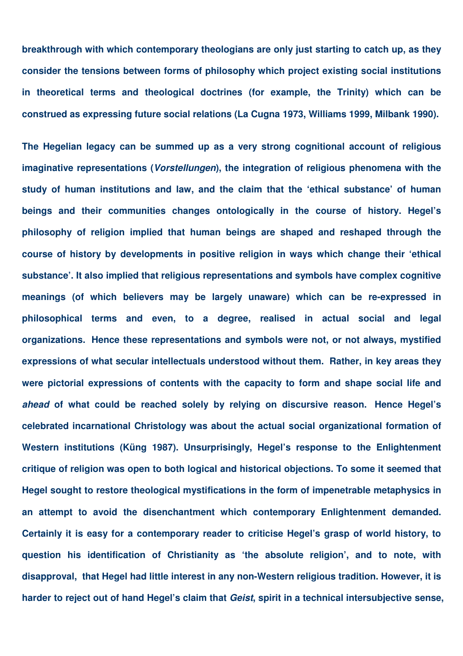**breakthrough with which contemporary theologians are only just starting to catch up, as they consider the tensions between forms of philosophy which project existing social institutions in theoretical terms and theological doctrines (for example, the Trinity) which can be construed as expressing future social relations (La Cugna 1973, Williams 1999, Milbank 1990).**

**The Hegelian legacy can be summed up as a very strong cognitional account of religious imaginative representations (***Vorstellungen***), the integration of religious phenomena with the study of human institutions and law, and the claim that the 'ethical substance' of human beings and their communities changes ontologically in the course of history. Hegel's philosophy of religion implied that human beings are shaped and reshaped through the course of history by developments in positive religion in ways which change their 'ethical substance'. It also implied that religious representations and symbols have complex cognitive meanings (of which believers may be largely unaware) which can be re-expressed in philosophical terms and even, to a degree, realised in actual social and legal organizations. Hence these representations and symbols were not, or not always, mystified expressions of what secular intellectuals understood without them. Rather, in key areas they were pictorial expressions of contents with the capacity to form and shape social life and** *ahead* **of what could be reached solely by relying on discursive reason. Hence Hegel's celebrated incarnational Christology was about the actual social organizational formation of Western institutions (Küng 1987). Unsurprisingly, Hegel's response to the Enlightenment critique of religion was open to both logical and historical objections. To some it seemed that Hegel sought to restore theological mystifications in the form of impenetrable metaphysics in an attempt to avoid the disenchantment which contemporary Enlightenment demanded. Certainly it is easy for a contemporary reader to criticise Hegel's grasp of world history, to question his identification of Christianity as 'the absolute religion', and to note, with disapproval, that Hegel had little interest in any non-Western religious tradition. However, it is harder to reject out of hand Hegel's claim that** *Geist***, spirit in a technical intersubjective sense,**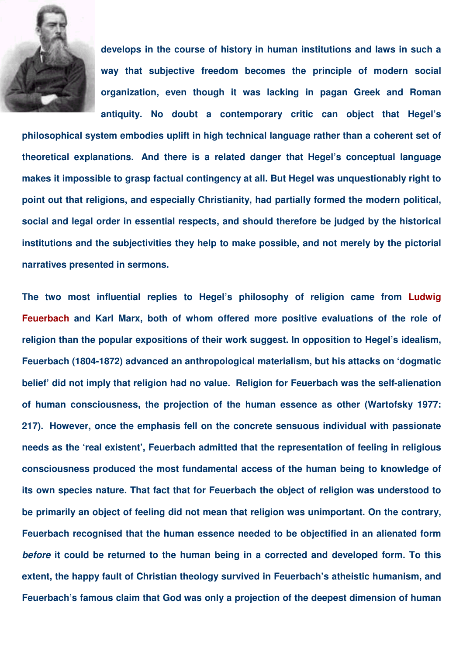

**develops in the course of history in human institutions and laws in such a way that subjective freedom becomes the principle of modern social organization, even though it was lacking in pagan Greek and Roman antiquity. No doubt a contemporary critic can object that Hegel's**

**philosophical system embodies uplift in high technical language rather than a coherent set of theoretical explanations. And there is a related danger that Hegel's conceptual language makes it impossible to grasp factual contingency at all. But Hegel was unquestionably right to point out that religions, and especially Christianity, had partially formed the modern political, social and legal order in essential respects, and should therefore be judged by the historical institutions and the subjectivities they help to make possible, and not merely by the pictorial narratives presented in sermons.**

**The two most influential replies to Hegel's philosophy of religion came from Ludwig Feuerbach and Karl Marx, both of whom offered more positive evaluations of the role of religion than the popular expositions of their work suggest. In opposition to Hegel's idealism, Feuerbach (1804-1872) advanced an anthropological materialism, but his attacks on 'dogmatic belief' did not imply that religion had no value. Religion for Feuerbach was the self-alienation of human consciousness, the projection of the human essence as other (Wartofsky 1977: 217). However, once the emphasis fell on the concrete sensuous individual with passionate needs as the 'real existent', Feuerbach admitted that the representation of feeling in religious consciousness produced the most fundamental access of the human being to knowledge of its own species nature. That fact that for Feuerbach the object of religion was understood to be primarily an object of feeling did not mean that religion was unimportant. On the contrary, Feuerbach recognised that the human essence needed to be objectified in an alienated form** *before* **it could be returned to the human being in a corrected and developed form. To this extent, the happy fault of Christian theology survived in Feuerbach's atheistic humanism, and Feuerbach's famous claim that God was only a projection of the deepest dimension of human**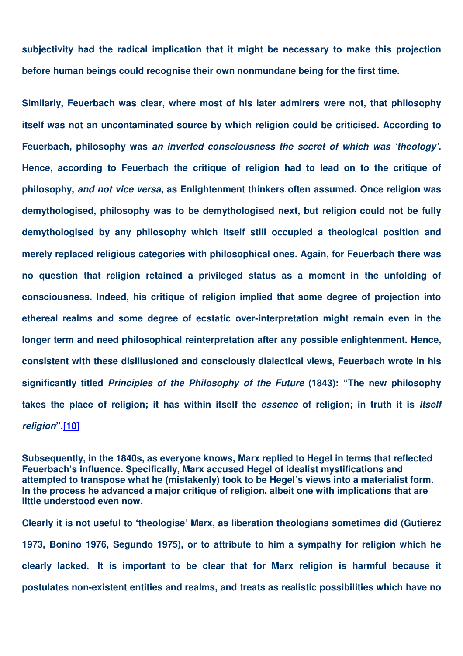**subjectivity had the radical implication that it might be necessary to make this projection before human beings could recognise their own nonmundane being for the first time.**

**Similarly, Feuerbach was clear, where most of his later admirers were not, that philosophy itself was not an uncontaminated source by which religion could be criticised. According to Feuerbach, philosophy was** *an inverted consciousness the secret of which was 'theology'***. Hence, according to Feuerbach the critique of religion had to lead on to the critique of philosophy,** *and not vice versa***, as Enlightenment thinkers often assumed. Once religion was demythologised, philosophy was to be demythologised next, but religion could not be fully demythologised by any philosophy which itself still occupied a theological position and merely replaced religious categories with philosophical ones. Again, for Feuerbach there was no question that religion retained a privileged status as a moment in the unfolding of consciousness. Indeed, his critique of religion implied that some degree of projection into ethereal realms and some degree of ecstatic over-interpretation might remain even in the longer term and need philosophical reinterpretation after any possible enlightenment. Hence, consistent with these disillusioned and consciously dialectical views, Feuerbach wrote in his significantly titled** *Principles of the Philosophy of the Future* **(1843): "The new philosophy takes the place of religion; it has within itself the** *essence* **of religion; in truth it is** *itself religion***".[10]**

**Subsequently, in the 1840s, as everyone knows, Marx replied to Hegel in terms that reflected Feuerbach's influence. Specifically, Marx accused Hegel of idealist mystifications and attempted to transpose what he (mistakenly) took to be Hegel's views into a materialist form. In the process he advanced a major critique of religion, albeit one with implications that are little understood even now.**

**Clearly it is not useful to 'theologise' Marx, as liberation theologians sometimes did (Gutierez 1973, Bonino 1976, Segundo 1975), or to attribute to him a sympathy for religion which he clearly lacked. It is important to be clear that for Marx religion is harmful because it postulates non-existent entities and realms, and treats as realistic possibilities which have no**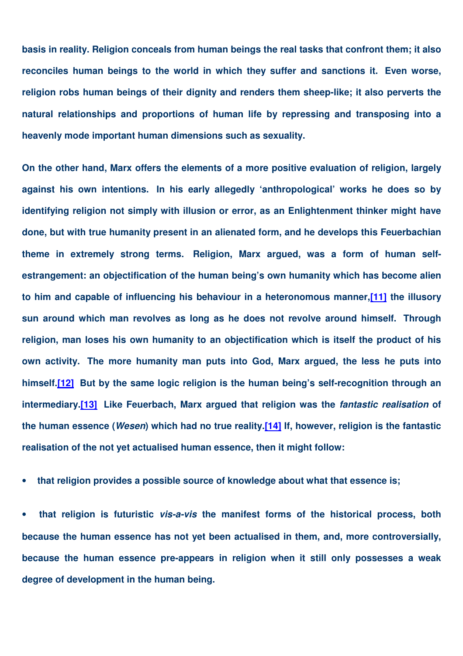**basis in reality. Religion conceals from human beings the real tasks that confront them; it also reconciles human beings to the world in which they suffer and sanctions it. Even worse, religion robs human beings of their dignity and renders them sheep-like; it also perverts the natural relationships and proportions of human life by repressing and transposing into a heavenly mode important human dimensions such as sexuality.**

**On the other hand, Marx offers the elements of a more positive evaluation of religion, largely against his own intentions. In his early allegedly 'anthropological' works he does so by identifying religion not simply with illusion or error, as an Enlightenment thinker might have done, but with true humanity present in an alienated form, and he develops this Feuerbachian theme in extremely strong terms. Religion, Marx argued, was a form of human selfestrangement: an objectification of the human being's own humanity which has become alien to him and capable of influencing his behaviour in a heteronomous manner,[11] the illusory sun around which man revolves as long as he does not revolve around himself. Through religion, man loses his own humanity to an objectification which is itself the product of his own activity. The more humanity man puts into God, Marx argued, the less he puts into himself.[12] But by the same logic religion is the human being's self-recognition through an intermediary.[13] Like Feuerbach, Marx argued that religion was the** *fantastic realisation* **of the human essence (***Wesen***) which had no true reality.[14] If, however, religion is the fantastic realisation of the not yet actualised human essence, then it might follow:**

• **that religion provides a possible source of knowledge about what that essence is;**

• **that religion is futuristic** *vis-a-vis* **the manifest forms of the historical process, both because the human essence has not yet been actualised in them, and, more controversially, because the human essence pre-appears in religion when it still only possesses a weak degree of development in the human being.**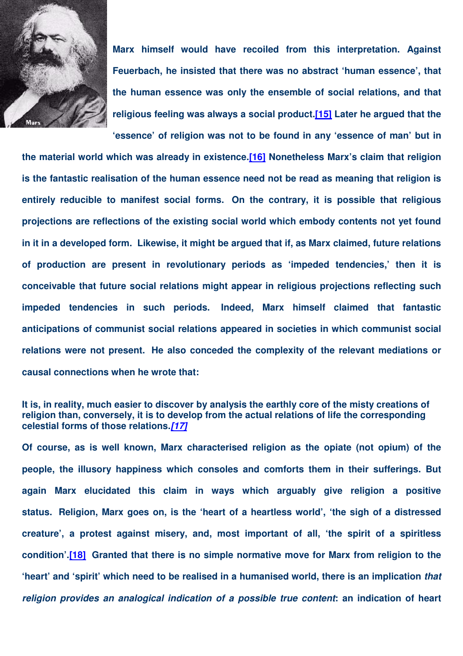

**Marx himself would have recoiled from this interpretation. Against Feuerbach, he insisted that there was no abstract 'human essence', that the human essence was only the ensemble of social relations, and that religious feeling was always a social product.[15] Later he argued that the 'essence' of religion was not to be found in any 'essence of man' but in**

**the material world which was already in existence.[16] Nonetheless Marx's claim that religion is the fantastic realisation of the human essence need not be read as meaning that religion is entirely reducible to manifest social forms. On the contrary, it is possible that religious projections are reflections of the existing social world which embody contents not yet found in it in a developed form. Likewise, it might be argued that if, as Marx claimed, future relations of production are present in revolutionary periods as 'impeded tendencies,' then it is conceivable that future social relations might appear in religious projections reflecting such impeded tendencies in such periods. Indeed, Marx himself claimed that fantastic anticipations of communist social relations appeared in societies in which communist social relations were not present. He also conceded the complexity of the relevant mediations or causal connections when he wrote that:**

### **It is, in reality, much easier to discover by analysis the earthly core of the misty creations of religion than, conversely, it is to develop from the actual relations of life the corresponding celestial forms of those relations.***[17]*

**Of course, as is well known, Marx characterised religion as the opiate (not opium) of the people, the illusory happiness which consoles and comforts them in their sufferings. But again Marx elucidated this claim in ways which arguably give religion a positive status. Religion, Marx goes on, is the 'heart of a heartless world', 'the sigh of a distressed creature', a protest against misery, and, most important of all, 'the spirit of a spiritless condition'.[18] Granted that there is no simple normative move for Marx from religion to the 'heart' and 'spirit' which need to be realised in a humanised world, there is an implication** *that religion provides an analogical indication of a possible true content***: an indication of heart**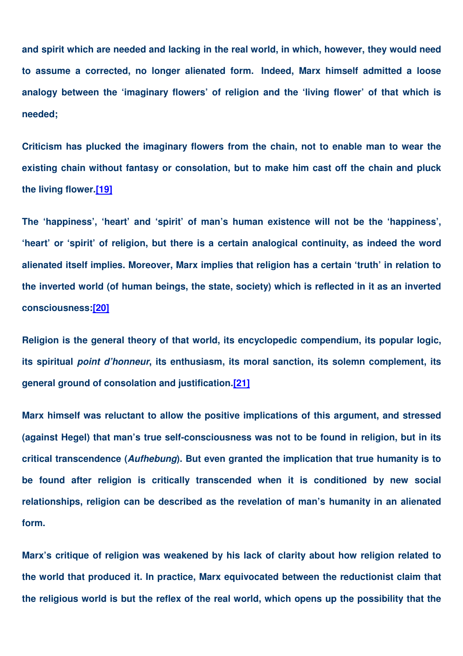**and spirit which are needed and lacking in the real world, in which, however, they would need to assume a corrected, no longer alienated form. Indeed, Marx himself admitted a loose analogy between the 'imaginary flowers' of religion and the 'living flower' of that which is needed;**

**Criticism has plucked the imaginary flowers from the chain, not to enable man to wear the existing chain without fantasy or consolation, but to make him cast off the chain and pluck the living flower.[19]**

**The 'happiness', 'heart' and 'spirit' of man's human existence will not be the 'happiness', 'heart' or 'spirit' of religion, but there is a certain analogical continuity, as indeed the word alienated itself implies. Moreover, Marx implies that religion has a certain 'truth' in relation to the inverted world (of human beings, the state, society) which is reflected in it as an inverted consciousness:[20]**

**Religion is the general theory of that world, its encyclopedic compendium, its popular logic, its spiritual** *point d'honneur***, its enthusiasm, its moral sanction, its solemn complement, its general ground of consolation and justification.[21]**

**Marx himself was reluctant to allow the positive implications of this argument, and stressed (against Hegel) that man's true self-consciousness was not to be found in religion, but in its critical transcendence (***Aufhebung***). But even granted the implication that true humanity is to be found after religion is critically transcended when it is conditioned by new social relationships, religion can be described as the revelation of man's humanity in an alienated form.**

**Marx's critique of religion was weakened by his lack of clarity about how religion related to the world that produced it. In practice, Marx equivocated between the reductionist claim that the religious world is but the reflex of the real world, which opens up the possibility that the**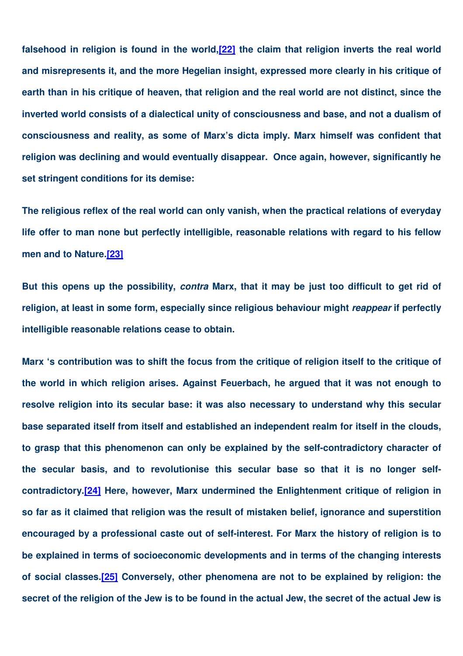**falsehood in religion is found in the world,[22] the claim that religion inverts the real world and misrepresents it, and the more Hegelian insight, expressed more clearly in his critique of earth than in his critique of heaven, that religion and the real world are not distinct, since the inverted world consists of a dialectical unity of consciousness and base, and not a dualism of consciousness and reality, as some of Marx's dicta imply. Marx himself was confident that religion was declining and would eventually disappear. Once again, however, significantly he set stringent conditions for its demise:**

**The religious reflex of the real world can only vanish, when the practical relations of everyday life offer to man none but perfectly intelligible, reasonable relations with regard to his fellow men and to Nature.[23]**

But this opens up the possibility, contra Marx, that it may be just too difficult to get rid of **religion, at least in some form, especially since religious behaviour might** *reappear* **if perfectly intelligible reasonable relations cease to obtain.**

Marx 's contribution was to shift the focus from the critique of religion itself to the critique of **the world in which religion arises. Against Feuerbach, he argued that it was not enough to resolve religion into its secular base: it was also necessary to understand why this secular base separated itself from itself and established an independent realm for itself in the clouds, to grasp that this phenomenon can only be explained by the self-contradictory character of the secular basis, and to revolutionise this secular base so that it is no longer selfcontradictory.[24] Here, however, Marx undermined the Enlightenment critique of religion in so far as it claimed that religion was the result of mistaken belief, ignorance and superstition encouraged by a professional caste out of self-interest. For Marx the history of religion is to be explained in terms of socioeconomic developments and in terms of the changing interests of social classes.[25] Conversely, other phenomena are not to be explained by religion: the** secret of the religion of the Jew is to be found in the actual Jew, the secret of the actual Jew is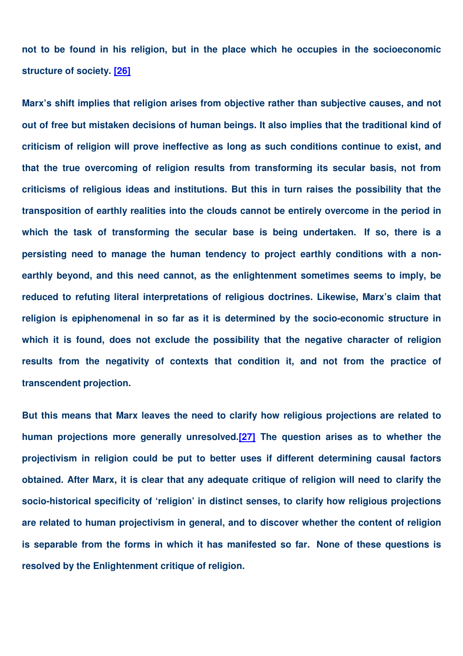**not to be found in his religion, but in the place which he occupies in the socioeconomic structure of society. [26]**

**Marx's shift implies that religion arises from objective rather than subjective causes, and not out of free but mistaken decisions of human beings. It also implies that the traditional kind of criticism of religion will prove ineffective as long as such conditions continue to exist, and that the true overcoming of religion results from transforming its secular basis, not from criticisms of religious ideas and institutions. But this in turn raises the possibility that the transposition of earthly realities into the clouds cannot be entirely overcome in the period in which the task of transforming the secular base is being undertaken. If so, there is a persisting need to manage the human tendency to project earthly conditions with a nonearthly beyond, and this need cannot, as the enlightenment sometimes seems to imply, be reduced to refuting literal interpretations of religious doctrines. Likewise, Marx's claim that religion is epiphenomenal in so far as it is determined by the socio-economic structure in which it is found, does not exclude the possibility that the negative character of religion results from the negativity of contexts that condition it, and not from the practice of transcendent projection.**

**But this means that Marx leaves the need to clarify how religious projections are related to human projections more generally unresolved.[27] The question arises as to whether the projectivism in religion could be put to better uses if different determining causal factors obtained. After Marx, it is clear that any adequate critique of religion will need to clarify the socio-historical specificity of 'religion' in distinct senses, to clarify how religious projections are related to human projectivism in general, and to discover whether the content of religion is separable from the forms in which it has manifested so far. None of these questions is resolved by the Enlightenment critique of religion.**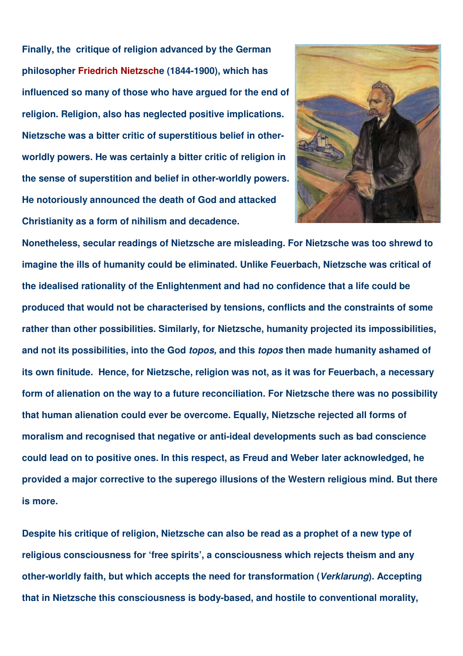**Finally, the critique of religion advanced by the German philosopher Friedrich Nietzsche (1844-1900), which has influenced so many of those who have argued for the end of religion. Religion, also has neglected positive implications. Nietzsche was a bitter critic of superstitious belief in otherworldly powers. He was certainly a bitter critic of religion in the sense of superstition and belief in other-worldly powers. He notoriously announced the death of God and attacked Christianity as a form of nihilism and decadence.**



**Nonetheless, secular readings of Nietzsche are misleading. For Nietzsche was too shrewd to imagine the ills of humanity could be eliminated. Unlike Feuerbach, Nietzsche was critical of the idealised rationality of the Enlightenment and had no confidence that a life could be produced that would not be characterised by tensions, conflicts and the constraints of some rather than other possibilities. Similarly, for Nietzsche, humanity projected its impossibilities, and not its possibilities, into the God** *topos,* **and this** *topos* **then made humanity ashamed of its own finitude. Hence, for Nietzsche, religion was not, as it was for Feuerbach, a necessary form of alienation on the way to a future reconciliation. For Nietzsche there was no possibility that human alienation could ever be overcome. Equally, Nietzsche rejected all forms of moralism and recognised that negative or anti-ideal developments such as bad conscience could lead on to positive ones. In this respect, as Freud and Weber later acknowledged, he provided a major corrective to the superego illusions of the Western religious mind. But there is more.**

**Despite his critique of religion, Nietzsche can also be read as a prophet of a new type of religious consciousness for 'free spirits', a consciousness which rejects theism and any other-worldly faith, but which accepts the need for transformation (***Verklarung***). Accepting that in Nietzsche this consciousness is body-based, and hostile to conventional morality,**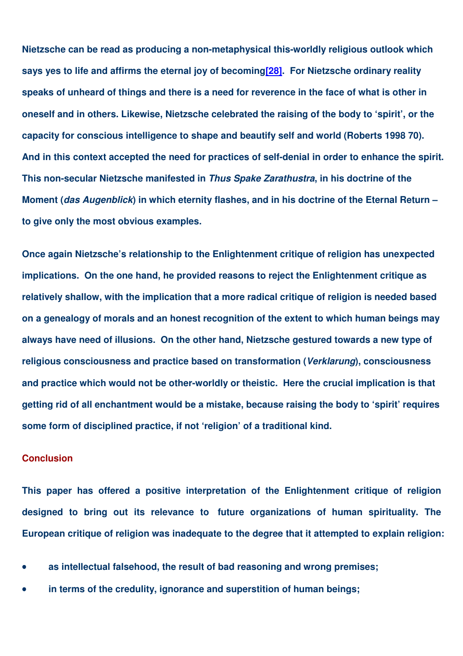**Nietzsche can be read as producing a non-metaphysical this-worldly religious outlook which says yes to life and affirms the eternal joy of becoming[28]. For Nietzsche ordinary reality** speaks of unheard of things and there is a need for reverence in the face of what is other in **oneself and in others. Likewise, Nietzsche celebrated the raising of the body to 'spirit', or the capacity for conscious intelligence to shape and beautify self and world (Roberts 1998 70). And in this context accepted the need for practices of self-denial in order to enhance the spirit. This non-secular Nietzsche manifested in** *Thus Spake Zarathustra***, in his doctrine of the Moment (***das Augenblick***) in which eternity flashes, and in his doctrine of the Eternal Return – to give only the most obvious examples.**

**Once again Nietzsche's relationship to the Enlightenment critique of religion has unexpected implications. On the one hand, he provided reasons to reject the Enlightenment critique as relatively shallow, with the implication that a more radical critique of religion is needed based on a genealogy of morals and an honest recognition of the extent to which human beings may always have need of illusions. On the other hand, Nietzsche gestured towards a new type of religious consciousness and practice based on transformation (***Verklarung***), consciousness and practice which would not be other-worldly or theistic. Here the crucial implication is that getting rid of all enchantment would be a mistake, because raising the body to 'spirit' requires some form of disciplined practice, if not 'religion' of a traditional kind.**

## **Conclusion**

**This paper has offered a positive interpretation of the Enlightenment critique of religion designed to bring out its relevance to future organizations of human spirituality. The European critique of religion was inadequate to the degree that it attempted to explain religion:**

- **as intellectual falsehood, the result of bad reasoning and wrong premises;**
- **in terms of the credulity, ignorance and superstition of human beings;**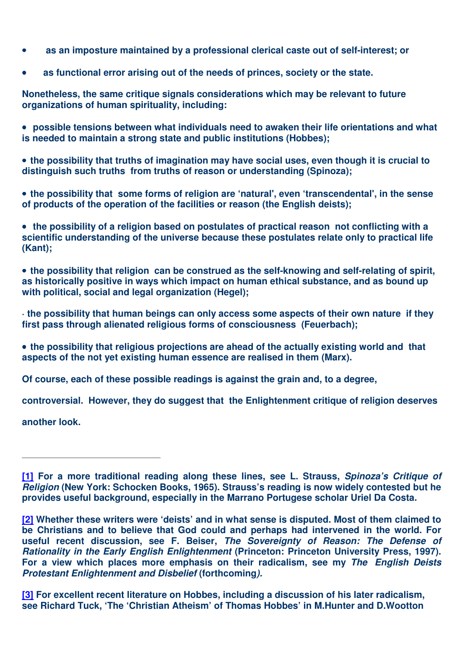- **as an imposture maintained by a professional clerical caste out of self-interest; or**
- **as functional error arising out of the needs of princes, society or the state.**

**Nonetheless, the same critique signals considerations which may be relevant to future organizations of human spirituality, including:**

• **possible tensions between what individuals need to awaken their life orientations and what is needed to maintain a strong state and public institutions (Hobbes);**

• **the possibility that truths of imagination may have social uses, even though it is crucial to distinguish such truths from truths of reason or understanding (Spinoza);**

• **the possibility that some forms of religion are 'natural', even 'transcendental', in the sense of products of the operation of the facilities or reason (the English deists);**

• **the possibility of a religion based on postulates of practical reason not conflicting with a scientific understanding of the universe because these postulates relate only to practical life (Kant);**

• **the possibility that religion can be construed as the self-knowing and self-relating of spirit, as historically positive in ways which impact on human ethical substance, and as bound up with political, social and legal organization (Hegel);**

**· the possibility that human beings can only access some aspects of their own nature if they first pass through alienated religious forms of consciousness (Feuerbach);**

• **the possibility that religious projections are ahead of the actually existing world and that aspects of the not yet existing human essence are realised in them (Marx).**

**Of course, each of these possible readings is against the grain and, to a degree,**

**controversial. However, they do suggest that the Enlightenment critique of religion deserves**

**another look.**

**[1] For a more traditional reading along these lines, see L. Strauss,** *Spinoza's Critique of Religion* **(New York: Schocken Books, 1965). Strauss's reading is now widely contested but he provides useful background, especially in the Marrano Portugese scholar Uriel Da Costa.**

**[2] Whether these writers were 'deists' and in what sense is disputed. Most of them claimed to be Christians and to believe that God could and perhaps had intervened in the world. For useful recent discussion, see F. Beiser,** *The Sovereignty of Reason: The Defense of Rationality in the Early English Enlightenment* **(Princeton: Princeton University Press, 1997). For a view which places more emphasis on their radicalism, see my** *The English Deists Protestant Enlightenment and Disbelief* **(forthcoming***).*

**[3] For excellent recent literature on Hobbes, including a discussion of his later radicalism, see Richard Tuck, 'The 'Christian Atheism' of Thomas Hobbes' in M.Hunter and D.Wootton**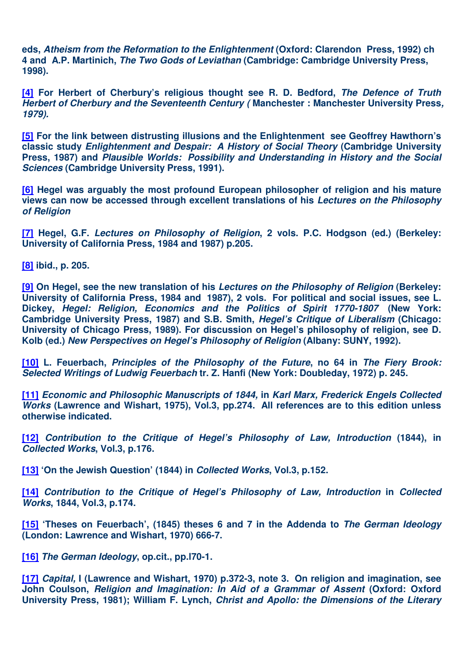**eds,** *Atheism from the Reformation to the Enlightenment* **(Oxford: Clarendon Press, 1992) ch 4 and A.P. Martinich,** *The Two Gods of Leviathan* **(Cambridge: Cambridge University Press, 1998).**

**[4] For Herbert of Cherbury's religious thought see R. D. Bedford,** *The Defence of Truth Herbert of Cherbury and the Seventeenth Century (* **Manchester : Manchester University Press***, 1979).*

**[5] For the link between distrusting illusions and the Enlightenment see Geoffrey Hawthorn's classic study** *Enlightenment and Despair: A History of Social Theory* **(Cambridge University Press, 1987) and** *Plausible Worlds: Possibility and Understanding in History and the Social Sciences* **(Cambridge University Press, 1991).**

**[6] Hegel was arguably the most profound European philosopher of religion and his mature views can now be accessed through excellent translations of his** *Lectures on the Philosophy of Religion*

**[7] Hegel, G.F.** *Lectures on Philosophy of Religion***, 2 vols. P.C. Hodgson (ed.) (Berkeley: University of California Press, 1984 and 1987) p.205.**

**[8] ibid., p. 205.**

**[9] On Hegel, see the new translation of his** *Lectures on the Philosophy of Religion* **(Berkeley: University of California Press, 1984 and 1987), 2 vols. For political and social issues, see L. Dickey,** *Hegel: Religion, Economics and the Politics of Spirit 1770-1807* **(New York: Cambridge University Press, 1987) and S.B. Smith,** *Hegel's Critique of Liberalism* **(Chicago: University of Chicago Press, 1989). For discussion on Hegel's philosophy of religion, see D. Kolb (ed.)** *New Perspectives on Hegel's Philosophy of Religion* **(Albany: SUNY, 1992).**

**[10] L. Feuerbach,** *Principles of the Philosophy of the Future***, no 64 in** *The Fiery Brook: Selected Writings of Ludwig Feuerbach* **tr. Z. Hanfi (New York: Doubleday, 1972) p. 245.**

**[11]** *Economic and Philosophic Manuscripts of 1844,* **in** *Karl Marx, Frederick Engels Collected Works* **(Lawrence and Wishart, 1975), Vol.3, pp.274. All references are to this edition unless otherwise indicated.**

**[12]** *Contribution to the Critique of Hegel's Philosophy of Law, Introduction* **(1844), in** *Collected Works***, Vol.3, p.176.**

**[13] 'On the Jewish Question' (1844) in** *Collected Works***, Vol.3, p.152.**

**[14]** *Contribution to the Critique of Hegel's Philosophy of Law, Introduction* **in** *Collected Works***, 1844, Vol.3, p.174.**

**[15] 'Theses on Feuerbach', (1845) theses 6 and 7 in the Addenda to** *The German Ideology* **(London: Lawrence and Wishart, 1970) 666-7.**

**[16]** *The German Ideology***, op.cit., pp.l70-1.**

**[17]** *Capital,* **I (Lawrence and Wishart, 1970) p.372-3, note 3. On religion and imagination, see John Coulson,** *Religion and Imagination: In Aid of a Grammar of Assent* **(Oxford: Oxford University Press, 1981); William F. Lynch,** *Christ and Apollo: the Dimensions of the Literary*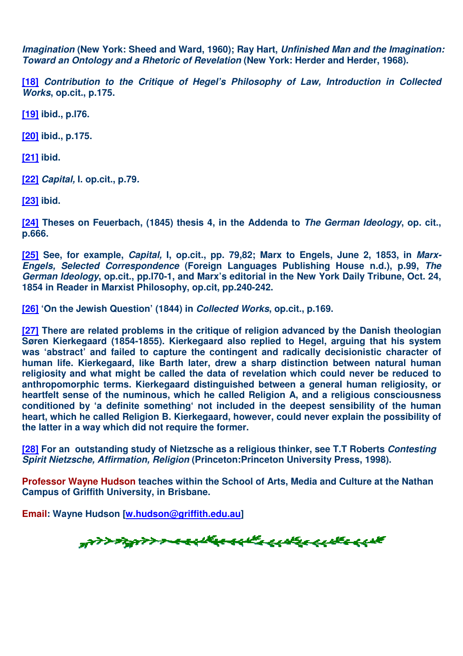*Imagination* **(New York: Sheed and Ward, 1960); Ray Hart,** *Unfinished Man and the Imagination: Toward an Ontology and a Rhetoric of Revelation* **(New York: Herder and Herder, 1968).**

**[18]** *Contribution to the Critique of Hegel's Philosophy of Law, Introduction in Collected Works***, op.cit., p.175.**

**[19] ibid., p.l76.**

**[20] ibid., p.175.**

**[21] ibid.**

**[22]** *Capital,* **I. op.cit., p.79***.*

**[23] ibid.**

**[24] Theses on Feuerbach, (1845) thesis 4, in the Addenda to** *The German Ideology***, op. cit., p.666.**

**[25] See, for example,** *Capital,* **I, op.cit., pp. 79,82; Marx to Engels, June 2, 1853, in** *Marx-Engels, Selected Correspondence* **(Foreign Languages Publishing House n.d.), p.99,** *The German Ideology***, op.cit., pp.l70-1, and Marx's editorial in the New York Daily Tribune, Oct. 24, 1854 in Reader in Marxist Philosophy, op.cit, pp.240-242.**

**[26] 'On the Jewish Question' (1844) in** *Collected Works***, op.cit., p.169.**

**[27] There are related problems in the critique of religion advanced by the Danish theologian Søren Kierkegaard (1854-1855). Kierkegaard also replied to Hegel, arguing that his system was 'abstract' and failed to capture the contingent and radically decisionistic character of human life. Kierkegaard, like Barth later, drew a sharp distinction between natural human religiosity and what might be called the data of revelation which could never be reduced to anthropomorphic terms. Kierkegaard distinguished between a general human religiosity, or heartfelt sense of the numinous, which he called Religion A, and a religious consciousness conditioned by 'a definite something' not included in the deepest sensibility of the human heart, which he called Religion B. Kierkegaard, however, could never explain the possibility of the latter in a way which did not require the former.**

**[28] For an outstanding study of Nietzsche as a religious thinker, see T.T Roberts** *Contesting Spirit Nietzsche, Affirmation, Religion* **(Princeton:Princeton University Press, 1998).**

**Professor Wayne Hudson teaches within the School of Arts, Media and Culture at the Nathan Campus of Griffith University, in Brisbane.**

**Email: Wayne Hudson [w.hudson@griffith.edu.au]**

"WYDRYW MEELLEEEEEEEEEEEEEEE